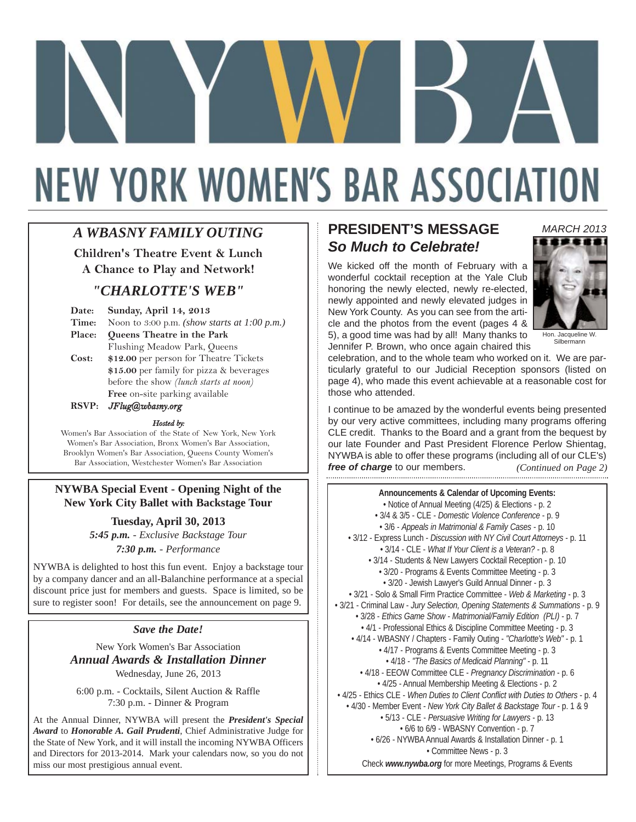# **NEW YORK WOMEN'S BAR ASSOCIATION**

# *A WBASNY FAMILY OUTING*

**Children's Theatre Event & Lunch**

**A Chance to Play and Network!** 

# *"CHARLOTTE'S WEB"*

| Date:  | <b>Sunday, April 14, 2013</b>                       |
|--------|-----------------------------------------------------|
| Time:  | Noon to 3:00 p.m. <i>(show starts at 1:00 p.m.)</i> |
| Place: | Queens Theatre in the Park                          |
|        | Flushing Meadow Park, Queens                        |
| Cost:  | \$12.00 per person for Theatre Tickets              |
|        | \$15.00 per family for pizza & beverages            |
|        | before the show <i>(lunch starts at noon)</i>       |
|        | <b>Free</b> on-site parking available               |
|        | $\sqrt{1}$                                          |

**RSVP:** *JFlug@wbasny.org*

#### *Hosted by:*

Women's Bar Association of the State of New York, New York Women's Bar Association, Bronx Women's Bar Association, Brooklyn Women's Bar Association, Queens County Women's Bar Association, Westchester Women's Bar Association

#### **NYWBA Special Event - Opening Night of the New York City Ballet with Backstage Tour**

**Tuesday, April 30, 2013** *5:45 p.m. - Exclusive Backstage Tour*

*7:30 p.m. - Performance* 

NYWBA is delighted to host this fun event. Enjoy a backstage tour by a company dancer and an all-Balanchine performance at a special discount price just for members and guests. Space is limited, so be sure to register soon! For details, see the announcement on page 9.

#### *Save the Date!*

New York Women's Bar Association *Annual Awards & Installation Dinner* Wednesday, June 26, 2013

6:00 p.m. - Cocktails, Silent Auction & Raffle 7:30 p.m. - Dinner & Program

At the Annual Dinner, NYWBA will present the *President's Special Award* to *Honorable A. Gail Prudenti*, Chief Administrative Judge for the State of New York, and it will install the incoming NYWBA Officers and Directors for 2013-2014. Mark your calendars now, so you do not miss our most prestigious annual event.

# **PRESIDENT'S MESSAGE** *So Much to Celebrate!*

We kicked off the month of February with a wonderful cocktail reception at the Yale Club honoring the newly elected, newly re-elected, newly appointed and newly elevated judges in New York County. As you can see from the article and the photos from the event (pages 4 & 5), a good time was had by all! Many thanks to Jennifer P. Brown, who once again chaired this



*MARCH 2013*

Hon. Jacqueline W. Silbermann

celebration, and to the whole team who worked on it. We are particularly grateful to our Judicial Reception sponsors (listed on page 4), who made this event achievable at a reasonable cost for those who attended.

I continue to be amazed by the wonderful events being presented by our very active committees, including many programs offering CLE credit. Thanks to the Board and a grant from the bequest by our late Founder and Past President Florence Perlow Shientag, NYWBA is able to offer these programs (including all of our CLE's) *free of charge* to our members. *(Continued on Page 2)*

**Announcements & Calendar of Upcoming Events:** • Notice of Annual Meeting (4/25) & Elections - p. 2 • 3/4 & 3/5 - CLE - *Domestic Violence Conference* - p. 9 • 3/6 - *Appeals in Matrimonial & Family Cases* - p. 10 • 3/12 - Express Lunch - *Discussion with NY Civil Court Attorneys* - p. 11 • 3/14 - CLE - *What If Your Client is a Veteran?* - p. 8 • 3/14 - Students & New Lawyers Cocktail Reception - p. 10 • 3/20 - Programs & Events Committee Meeting - p. 3 • 3/20 - Jewish Lawyer's Guild Annual Dinner - p. 3 • 3/21 - Solo & Small Firm Practice Committee - *Web & Marketing* - p. 3 • 3/21 - Criminal Law - *Jury Selection, Opening Statements & Summations* - p. 9 • 3/28 - *Ethics Game Show - Matrimonial/Family Edition (PLI)* - p. 7 • 4/1 - Professional Ethics & Discipline Committee Meeting - p. 3 • 4/14 - WBASNY / Chapters - Family Outing - *"Charlotte's Web"* - p. 1 • 4/17 - Programs & Events Committee Meeting - p. 3 • 4/18 - *"The Basics of Medicaid Planning"* - p. 11 • 4/18 - EEOW Committee CLE - *Pregnancy Discrimination* - p. 6 • 4/25 - Annual Membership Meeting & Elections - p. 2 • 4/25 - Ethics CLE - *When Duties to Client Conflict with Duties to Others* - p. 4 • 4/30 - Member Event - *New York City Ballet & Backstage Tour* - p. 1 & 9 • 5/13 - CLE - *Persuasive Writing for Lawyers* - p. 13 • 6/6 to 6/9 - WBASNY Convention - p. 7 • 6/26 - NYWBA Annual Awards & Installation Dinner - p. 1 • Committee News - p. 3 Check *www.nywba.org* for more Meetings, Programs & Events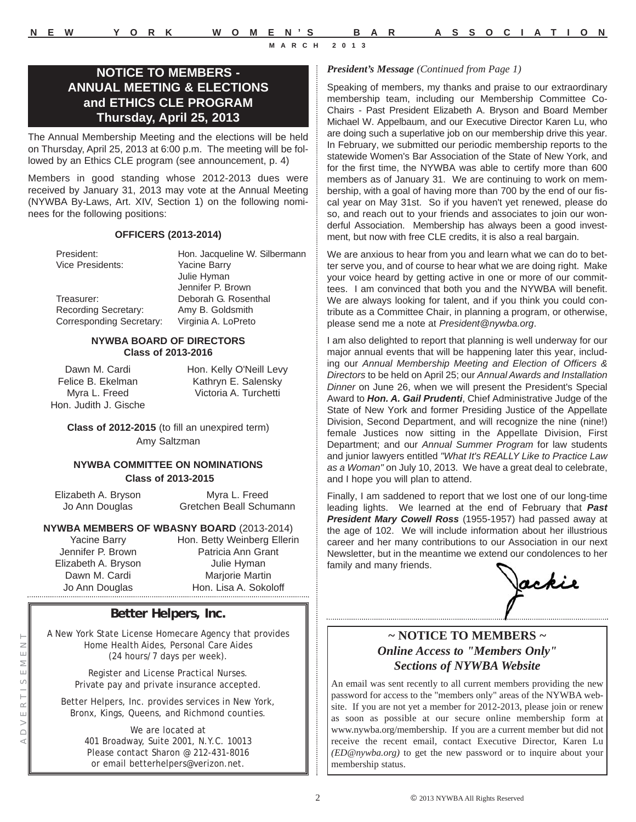# **NOTICE TO MEMBERS - ANNUAL MEETING & ELECTIONS and ETHICS CLE PROGRAM Thursday, April 25, 2013**

The Annual Membership Meeting and the elections will be held on Thursday, April 25, 2013 at 6:00 p.m. The meeting will be followed by an Ethics CLE program (see announcement, p. 4)

Members in good standing whose 2012-2013 dues were received by January 31, 2013 may vote at the Annual Meeting (NYWBA By-Laws, Art. XIV, Section 1) on the following nominees for the following positions:

#### **OFFICERS (2013-2014)**

Vice Presidents: Yacine Barry

President: Hon. Jacqueline W. Silbermann Julie Hyman Jennifer P. Brown Treasurer: Deborah G. Rosenthal Recording Secretary: Amy B. Goldsmith Corresponding Secretary: Virginia A. LoPreto

#### **NYWBA BOARD OF DIRECTORS Class of 2013-2016**

Dawn M. Cardi Felice B. Ekelman Myra L. Freed Hon. Judith J. Gische Hon. Kelly O'Neill Levy Kathryn E. Salensky Victoria A. Turchetti

**Class of 2012-2015** (to fill an unexpired term) Amy Saltzman

#### **NYWBA COMMITTEE ON NOMINATIONS Class of 2013-2015**

Elizabeth A. Bryson Jo Ann Douglas

Myra L. Freed Gretchen Beall Schumann

#### **NYWBA MEMBERS OF WBASNY BOARD** (2013-2014)

Yacine Barry Jennifer P. Brown Elizabeth A. Bryson Dawn M. Cardi Jo Ann Douglas Hon. Lisa A. Sok

Hon. Betty Weinberg Ellerin Patricia Ann Grant Julie Hyman Marjorie Martin Hon. Lisa A. Sokoloff

# **Better Helpers, Inc.**

A New York State License Homecare Agency that provides Home Health Aides, Personal Care Aides (24 hours/7 days per week).

> Register and License Practical Nurses. Private pay and private insurance accepted.

Better Helpers, Inc. provides services in New York, Bronx, Kings, Queens, and Richmond counties.

> We are located at 401 Broadway, Suite 2001, N.Y.C. 10013 Please contact Sharon @ 212-431-8016 or email betterhelpers@verizon.net.

#### *President's Message (Continued from Page 1)*

Speaking of members, my thanks and praise to our extraordinary membership team, including our Membership Committee Co-Chairs - Past President Elizabeth A. Bryson and Board Member Michael W. Appelbaum, and our Executive Director Karen Lu, who are doing such a superlative job on our membership drive this year. In February, we submitted our periodic membership reports to the statewide Women's Bar Association of the State of New York, and for the first time, the NYWBA was able to certify more than 600 members as of January 31. We are continuing to work on membership, with a goal of having more than 700 by the end of our fiscal year on May 31st. So if you haven't yet renewed, please do so, and reach out to your friends and associates to join our wonderful Association. Membership has always been a good investment, but now with free CLE credits, it is also a real bargain.

We are anxious to hear from you and learn what we can do to better serve you, and of course to hear what we are doing right. Make your voice heard by getting active in one or more of our committees. I am convinced that both you and the NYWBA will benefit. We are always looking for talent, and if you think you could contribute as a Committee Chair, in planning a program, or otherwise, please send me a note at *President@nywba.org*.

I am also delighted to report that planning is well underway for our major annual events that will be happening later this year, including our *Annual Membership Meeting and Election of Officers & Directors* to be held on April 25; our *Annual Awards and Installation Dinner* on June 26, when we will present the President's Special Award to *Hon. A. Gail Prudenti*, Chief Administrative Judge of the State of New York and former Presiding Justice of the Appellate Division, Second Department, and will recognize the nine (nine!) female Justices now sitting in the Appellate Division, First Department; and our *Annual Summer Program* for law students and junior lawyers entitled *"What It's REALLY Like to Practice Law as a Woman"* on July 10, 2013. We have a great deal to celebrate, and I hope you will plan to attend.

Finally, I am saddened to report that we lost one of our long-time leading lights. We learned at the end of February that *Past President Mary Cowell Ross* (1955-1957) had passed away at the age of 102. We will include information about her illustrious career and her many contributions to our Association in our next Newsletter, but in the meantime we extend our condolences to her family and many friends.

ackie

# **~ NOTICE TO MEMBERS ~** *Online Access to "Members Only" Sections of NYWBA Website*

An email was sent recently to all current members providing the new password for access to the "members only" areas of the NYWBA website. If you are not yet a member for 2012-2013, please join or renew as soon as possible at our secure online membership form at www.nywba.org/membership. If you are a current member but did not receive the recent email, contact Executive Director, Karen Lu *(ED@nywba.org)* to get the new password or to inquire about your membership status.

© 2013 NYWBA All Rights Reserved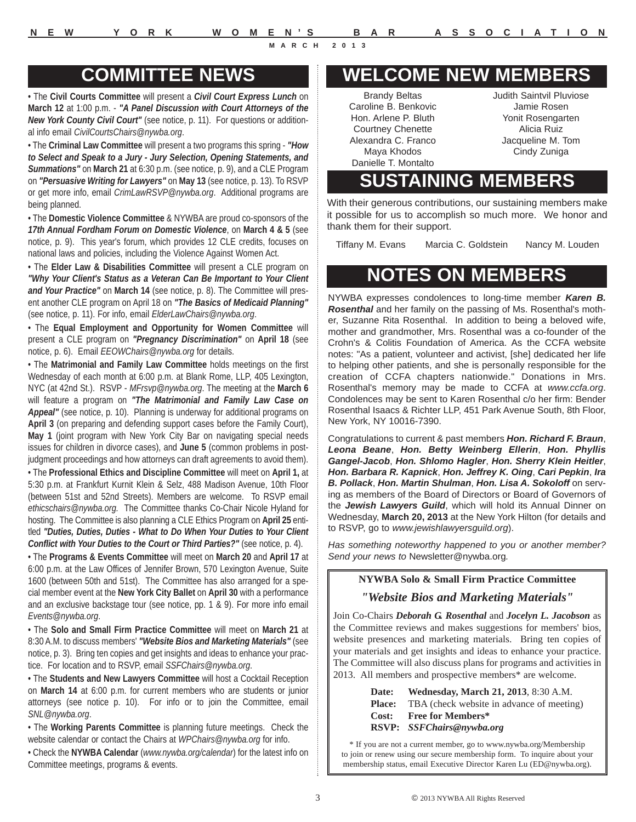# **COMMITTEE NEWS**

• The **Civil Courts Committee** will present a *Civil Court Express Lunch* on **March 12** at 1:00 p.m. - *"A Panel Discussion with Court Attorneys of the New York County Civil Court"* (see notice, p. 11). For questions or additional info email *CivilCourtsChairs@nywba.org*.

• The **Criminal Law Committee** will present a two programs this spring - *"How to Select and Speak to a Jury - Jury Selection, Opening Statements, and Summations"* on **March 21** at 6:30 p.m. (see notice, p. 9), and a CLE Program on *"Persuasive Writing for Lawyers"* on **May 13** (see notice, p. 13). To RSVP or get more info, email *CrimLawRSVP@nywba.org*. Additional programs are being planned.

• The **Domestic Violence Committee** & NYWBA are proud co-sponsors of the *17th Annual Fordham Forum on Domestic Violence*, on **March 4 & 5** (see notice, p. 9). This year's forum, which provides 12 CLE credits, focuses on national laws and policies, including the Violence Against Women Act.

• The **Elder Law & Disabilities Committee** will present a CLE program on *"Why Your Client's Status as a Veteran Can Be Important to Your Client and Your Practice"* on **March 14** (see notice, p. 8). The Committee will present another CLE program on April 18 on *"The Basics of Medicaid Planning"* (see notice, p. 11). For info, email *ElderLawChairs@nywba.org*.

• The **Equal Employment and Opportunity for Women Committee** will present a CLE program on *"Pregnancy Discrimination"* on **April 18** (see notice, p. 6). Email *EEOWChairs@nywba.org* for details.

• The **Matrimonial and Family Law Committee** holds meetings on the first Wednesday of each month at 6:00 p.m. at Blank Rome, LLP, 405 Lexington, NYC (at 42nd St.). RSVP - *MFrsvp@nywba.org*. The meeting at the **March 6** will feature a program on *"The Matrimonial and Family Law Case on Appeal"* (see notice, p. 10). Planning is underway for additional programs on **April 3** (on preparing and defending support cases before the Family Court), **May 1** (joint program with New York City Bar on navigating special needs issues for children in divorce cases), and **June 5** (common problems in postjudgment proceedings and how attorneys can draft agreements to avoid them).

• The **Professional Ethics and Discipline Committee** will meet on **April 1,** at 5:30 p.m. at Frankfurt Kurnit Klein & Selz, 488 Madison Avenue, 10th Floor (between 51st and 52nd Streets). Members are welcome. To RSVP email *ethicschairs@nywba.org.* The Committee thanks Co-Chair Nicole Hyland for hosting. The Committee is also planning a CLE Ethics Program on **April 25** entitled *"Duties, Duties, Duties - What to Do When Your Duties to Your Client Conflict with Your Duties to the Court or Third Parties?"* (see notice, p. 4).

• The **Programs & Events Committee** will meet on **March 20** and **April 17** at 6:00 p.m. at the Law Offices of Jennifer Brown, 570 Lexington Avenue, Suite 1600 (between 50th and 51st). The Committee has also arranged for a special member event at the **New York City Ballet** on **April 30** with a performance and an exclusive backstage tour (see notice, pp. 1 & 9). For more info email *Events@nywba.org*.

• The **Solo and Small Firm Practice Committee** will meet on **March 21** at 8:30 A.M. to discuss members' *"Website Bios and Marketing Materials"* (see notice, p. 3). Bring ten copies and get insights and ideas to enhance your practice. For location and to RSVP, email *SSFChairs@nywba.org*.

• The **Students and New Lawyers Committee** will host a Cocktail Reception on **March 14** at 6:00 p.m. for current members who are students or junior attorneys (see notice p. 10). For info or to join the Committee, email *SNL@nywba.org*.

• The **Working Parents Committee** is planning future meetings. Check the website calendar or contact the Chairs at *WPChairs@nywba.org* for info.

• Check the **NYWBA Calendar** (*www.nywba.org/calendar*) for the latest info on Committee meetings, programs & events.

# **WELCOME NEW MEMBERS**

Brandy Beltas Caroline B. Benkovic Hon. Arlene P. Bluth Courtney Chenette Alexandra C. Franco Maya Khodos Danielle T. Montalto

Judith Saintvil Pluviose Jamie Rosen Yonit Rosengarten Alicia Ruiz Jacqueline M. Tom Cindy Zuniga

# **SUSTAINING MEMBERS**

With their generous contributions, our sustaining members make it possible for us to accomplish so much more. We honor and thank them for their support.

Tiffany M. Evans Marcia C. Goldstein Nancy M. Louden

# **NOTES ON MEMBERS**

NYWBA expresses condolences to long-time member *Karen B. Rosenthal* and her family on the passing of Ms. Rosenthal's mother, Suzanne Rita Rosenthal. In addition to being a beloved wife, mother and grandmother, Mrs. Rosenthal was a co-founder of the Crohn's & Colitis Foundation of America. As the CCFA website notes: "As a patient, volunteer and activist, [she] dedicated her life to helping other patients, and she is personally responsible for the creation of CCFA chapters nationwide." Donations in Mrs. Rosenthal's memory may be made to CCFA at *www.ccfa.org*. Condolences may be sent to Karen Rosenthal c/o her firm: Bender Rosenthal Isaacs & Richter LLP, 451 Park Avenue South, 8th Floor, New York, NY 10016-7390.

Congratulations to current & past members *Hon. Richard F. Braun*, *Leona Beane*, *Hon. Betty Weinberg Ellerin*, *Hon. Phyllis Gangel-Jacob*, *Hon. Shlomo Hagler*, *Hon. Sherry Klein Heitler*, *Hon. Barbara R. Kapnick*, *Hon. Jeffrey K. Oing*, *Cari Pepkin*, *Ira B. Pollack*, *Hon. Martin Shulman*, *Hon. Lisa A. Sokoloff* on serving as members of the Board of Directors or Board of Governors of the *Jewish Lawyers Guild*, which will hold its Annual Dinner on Wednesday, **March 20, 2013** at the New York Hilton (for details and to RSVP, go to *www.jewishlawyersguild.org*).

*Has something noteworthy happened to you or another member? Send your news to* Newsletter@nywba.org*.*

#### **NYWBA Solo & Small Firm Practice Committee**

#### *"Website Bios and Marketing Materials"*

Join Co-Chairs *Deborah G. Rosenthal* and *Jocelyn L. Jacobson* as the Committee reviews and makes suggestions for members' bios, website presences and marketing materials. Bring ten copies of your materials and get insights and ideas to enhance your practice. The Committee will also discuss plans for programs and activities in 2013. All members and prospective members\* are welcome.

> **Date: Wednesday, March 21, 2013**, 8:30 A.M. **Place:** TBA (check website in advance of meeting) **Cost: Free for Members\* RSVP:** *SSFChairs@nywba.org*

\* If you are not a current member, go to www.nywba.org/Membership to join or renew using our secure membership form. To inquire about your membership status, email Executive Director Karen Lu (ED@nywba.org).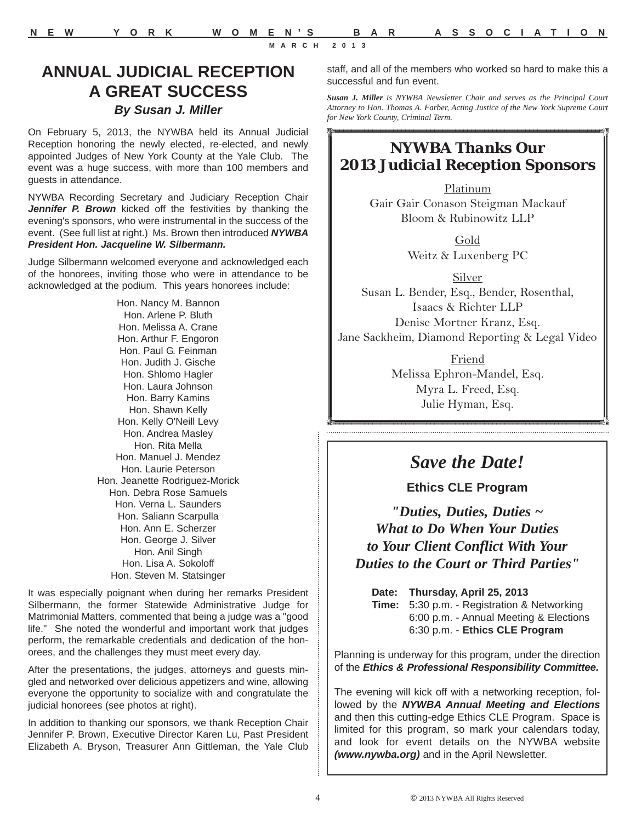# **ANNUAL JUDICIAL RECEPTION A GREAT SUCCESS** *By Susan J. Miller*

On February 5, 2013, the NYWBA held its Annual Judicial Reception honoring the newly elected, re-elected, and newly appointed Judges of New York County at the Yale Club. The event was a huge success, with more than 100 members and guests in attendance.

NYWBA Recording Secretary and Judiciary Reception Chair *Jennifer P. Brown* kicked off the festivities by thanking the evening's sponsors, who were instrumental in the success of the event. (See full list at right.) Ms. Brown then introduced *NYWBA President Hon. Jacqueline W. Silbermann.*

Judge Silbermann welcomed everyone and acknowledged each of the honorees, inviting those who were in attendance to be acknowledged at the podium. This years honorees include:

> Hon. Nancy M. Bannon Hon. Arlene P. Bluth Hon. Melissa A. Crane Hon. Arthur F. Engoron Hon. Paul G. Feinman Hon. Judith J. Gische Hon. Shlomo Hagler Hon. Laura Johnson Hon. Barry Kamins Hon. Shawn Kelly Hon. Kelly O'Neill Levy Hon. Andrea Masley Hon. Rita Mella Hon. Manuel J. Mendez Hon. Laurie Peterson Hon. Jeanette Rodriguez-Morick Hon. Debra Rose Samuels Hon. Verna L. Saunders Hon. Saliann Scarpulla Hon. Ann E. Scherzer Hon. George J. Silver Hon. Anil Singh Hon. Lisa A. Sokoloff Hon. Steven M. Statsinger

It was especially poignant when during her remarks President Silbermann, the former Statewide Administrative Judge for Matrimonial Matters, commented that being a judge was a "good life." She noted the wonderful and important work that judges perform, the remarkable credentials and dedication of the honorees, and the challenges they must meet every day.

After the presentations, the judges, attorneys and guests mingled and networked over delicious appetizers and wine, allowing everyone the opportunity to socialize with and congratulate the judicial honorees (see photos at right).

In addition to thanking our sponsors, we thank Reception Chair Jennifer P. Brown, Executive Director Karen Lu, Past President Elizabeth A. Bryson, Treasurer Ann Gittleman, the Yale Club

staff, and all of the members who worked so hard to make this a successful and fun event.

*Susan J. Miller is NYWBA Newsletter Chair and serves as the Principal Court Attorney to Hon. Thomas A. Farber, Acting Justice of the New York Supreme Court for New York County, Criminal Term.*

# *NYWBA Thanks Our 2013 Judicial Reception Sponsors*

Platinum Gair Gair Conason Steigman Mackauf Bloom & Rubinowitz LLP

> Gold Weitz & Luxenberg PC

Silver Susan L. Bender, Esq., Bender, Rosenthal, Isaacs & Richter LLP Denise Mortner Kranz, Esq. Jane Sackheim, Diamond Reporting & Legal Video

> Friend Melissa Ephron-Mandel, Esq. Myra L. Freed, Esq. Julie Hyman, Esq.

# *Save the Date!*

**Ethics CLE Program**

*"Duties, Duties, Duties ~ What to Do When Your Duties to Your Client Conflict With Your Duties to the Court or Third Parties"*

**Date: Thursday, April 25, 2013 Time:** 5:30 p.m. - Registration & Networking 6:00 p.m. - Annual Meeting & Elections 6:30 p.m. - **Ethics CLE Program** 

Planning is underway for this program, under the direction of the *Ethics & Professional Responsibility Committee.* 

The evening will kick off with a networking reception, followed by the *NYWBA Annual Meeting and Elections* and then this cutting-edge Ethics CLE Program. Space is limited for this program, so mark your calendars today, and look for event details on the NYWBA website *(www.nywba.org)* and in the April Newsletter.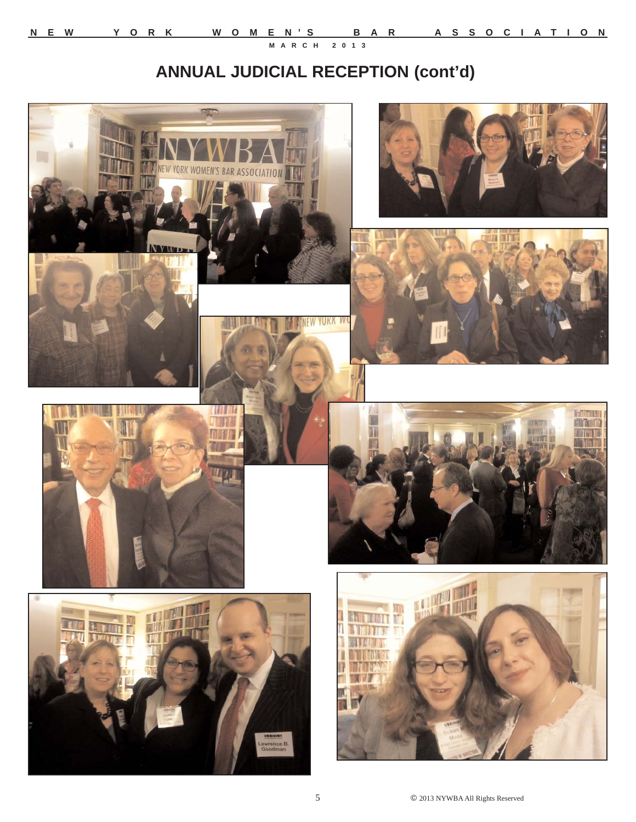# **ANNUAL JUDICIAL RECEPTION (cont'd)**

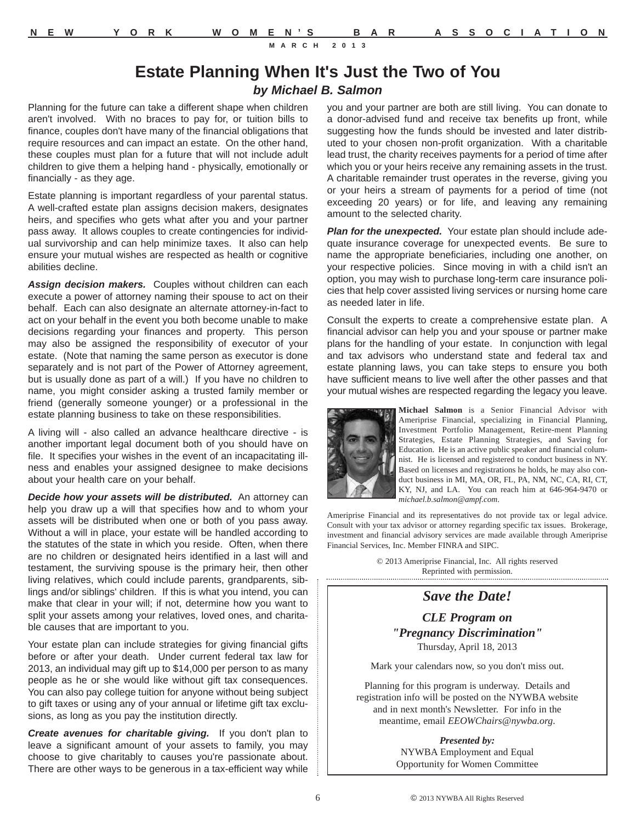# **Estate Planning When It's Just the Two of You** *by Michael B. Salmon*

Planning for the future can take a different shape when children aren't involved. With no braces to pay for, or tuition bills to finance, couples don't have many of the financial obligations that require resources and can impact an estate. On the other hand, these couples must plan for a future that will not include adult children to give them a helping hand - physically, emotionally or financially - as they age.

Estate planning is important regardless of your parental status. A well-crafted estate plan assigns decision makers, designates heirs, and specifies who gets what after you and your partner pass away. It allows couples to create contingencies for individual survivorship and can help minimize taxes. It also can help ensure your mutual wishes are respected as health or cognitive abilities decline.

*Assign decision makers.* Couples without children can each execute a power of attorney naming their spouse to act on their behalf. Each can also designate an alternate attorney-in-fact to act on your behalf in the event you both become unable to make decisions regarding your finances and property. This person may also be assigned the responsibility of executor of your estate. (Note that naming the same person as executor is done separately and is not part of the Power of Attorney agreement, but is usually done as part of a will.) If you have no children to name, you might consider asking a trusted family member or friend (generally someone younger) or a professional in the estate planning business to take on these responsibilities.

A living will - also called an advance healthcare directive - is another important legal document both of you should have on file. It specifies your wishes in the event of an incapacitating illness and enables your assigned designee to make decisions about your health care on your behalf.

*Decide how your assets will be distributed.* An attorney can help you draw up a will that specifies how and to whom your assets will be distributed when one or both of you pass away. Without a will in place, your estate will be handled according to the statutes of the state in which you reside. Often, when there are no children or designated heirs identified in a last will and testament, the surviving spouse is the primary heir, then other living relatives, which could include parents, grandparents, siblings and/or siblings' children. If this is what you intend, you can make that clear in your will; if not, determine how you want to split your assets among your relatives, loved ones, and charitable causes that are important to you.

Your estate plan can include strategies for giving financial gifts before or after your death. Under current federal tax law for 2013, an individual may gift up to \$14,000 per person to as many people as he or she would like without gift tax consequences. You can also pay college tuition for anyone without being subject to gift taxes or using any of your annual or lifetime gift tax exclusions, as long as you pay the institution directly.

*Create avenues for charitable giving.* If you don't plan to leave a significant amount of your assets to family, you may choose to give charitably to causes you're passionate about. There are other ways to be generous in a tax-efficient way while you and your partner are both are still living. You can donate to a donor-advised fund and receive tax benefits up front, while suggesting how the funds should be invested and later distributed to your chosen non-profit organization. With a charitable lead trust, the charity receives payments for a period of time after which you or your heirs receive any remaining assets in the trust. A charitable remainder trust operates in the reverse, giving you or your heirs a stream of payments for a period of time (not exceeding 20 years) or for life, and leaving any remaining amount to the selected charity.

*Plan for the unexpected.* Your estate plan should include adequate insurance coverage for unexpected events. Be sure to name the appropriate beneficiaries, including one another, on your respective policies. Since moving in with a child isn't an option, you may wish to purchase long-term care insurance policies that help cover assisted living services or nursing home care as needed later in life.

Consult the experts to create a comprehensive estate plan. A financial advisor can help you and your spouse or partner make plans for the handling of your estate. In conjunction with legal and tax advisors who understand state and federal tax and estate planning laws, you can take steps to ensure you both have sufficient means to live well after the other passes and that your mutual wishes are respected regarding the legacy you leave.



**Michael Salmon** is a Senior Financial Advisor with Ameriprise Financial, specializing in Financial Planning, Investment Portfolio Management, Retire-ment Planning Strategies, Estate Planning Strategies, and Saving for Education. He is an active public speaker and financial columnist. He is licensed and registered to conduct business in NY. Based on licenses and registrations he holds, he may also conduct business in MI, MA, OR, FL, PA, NM, NC, CA, RI, CT, KY, NJ, and LA. You can reach him at 646-964-9470 or *michael.b.salmon@ampf.com*.

Ameriprise Financial and its representatives do not provide tax or legal advice. Consult with your tax advisor or attorney regarding specific tax issues. Brokerage, investment and financial advisory services are made available through Ameriprise Financial Services, Inc. Member FINRA and SIPC.

© 2013 Ameriprise Financial, Inc. All rights reserved Reprinted with permission.

#### *Save the Date!*

*CLE Program on "Pregnancy Discrimination"*  Thursday, April 18, 2013

Mark your calendars now, so you don't miss out.

Planning for this program is underway. Details and registration info will be posted on the NYWBA website and in next month's Newsletter. For info in the meantime, email *EEOWChairs@nywba.org*.

> *Presented by:* NYWBA Employment and Equal Opportunity for Women Committee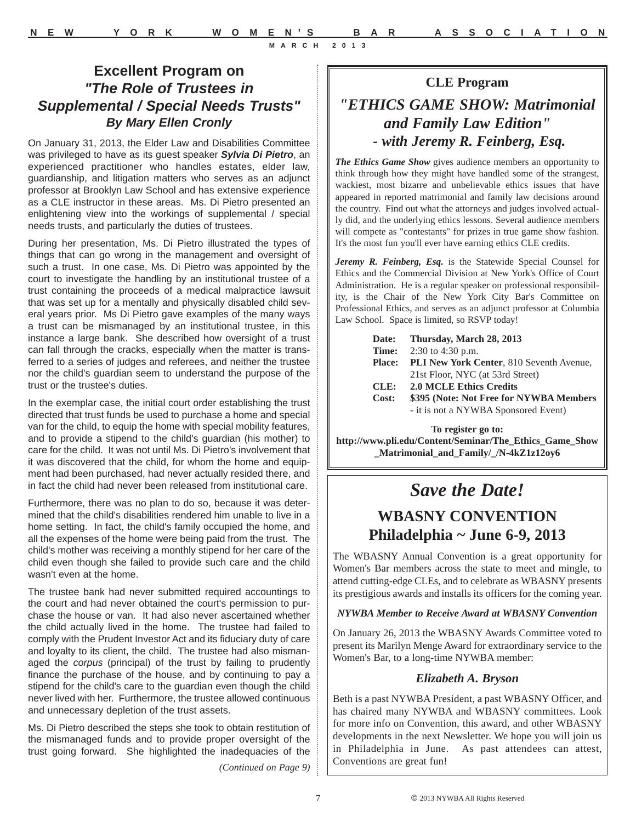# **Excellent Program on**  *"The Role of Trustees in Supplemental / Special Needs Trusts" By Mary Ellen Cronly*

On January 31, 2013, the Elder Law and Disabilities Committee was privileged to have as its guest speaker *Sylvia Di Pietro*, an experienced practitioner who handles estates, elder law, guardianship, and litigation matters who serves as an adjunct professor at Brooklyn Law School and has extensive experience as a CLE instructor in these areas. Ms. Di Pietro presented an enlightening view into the workings of supplemental / special needs trusts, and particularly the duties of trustees.

During her presentation, Ms. Di Pietro illustrated the types of things that can go wrong in the management and oversight of such a trust. In one case, Ms. Di Pietro was appointed by the court to investigate the handling by an institutional trustee of a trust containing the proceeds of a medical malpractice lawsuit that was set up for a mentally and physically disabled child several years prior. Ms Di Pietro gave examples of the many ways a trust can be mismanaged by an institutional trustee, in this instance a large bank. She described how oversight of a trust can fall through the cracks, especially when the matter is transferred to a series of judges and referees, and neither the trustee nor the child's guardian seem to understand the purpose of the trust or the trustee's duties.

In the exemplar case, the initial court order establishing the trust directed that trust funds be used to purchase a home and special van for the child, to equip the home with special mobility features, and to provide a stipend to the child's guardian (his mother) to care for the child. It was not until Ms. Di Pietro's involvement that it was discovered that the child, for whom the home and equipment had been purchased, had never actually resided there, and in fact the child had never been released from institutional care.

Furthermore, there was no plan to do so, because it was determined that the child's disabilities rendered him unable to live in a home setting. In fact, the child's family occupied the home, and all the expenses of the home were being paid from the trust. The child's mother was receiving a monthly stipend for her care of the child even though she failed to provide such care and the child wasn't even at the home.

The trustee bank had never submitted required accountings to the court and had never obtained the court's permission to purchase the house or van. It had also never ascertained whether the child actually lived in the home. The trustee had failed to comply with the Prudent Investor Act and its fiduciary duty of care and loyalty to its client, the child. The trustee had also mismanaged the *corpus* (principal) of the trust by failing to prudently finance the purchase of the house, and by continuing to pay a stipend for the child's care to the guardian even though the child never lived with her. Furthermore, the trustee allowed continuous and unnecessary depletion of the trust assets.

Ms. Di Pietro described the steps she took to obtain restitution of the mismanaged funds and to provide proper oversight of the trust going forward. She highlighted the inadequacies of the

*(Continued on Page 9)*

# **CLE Program** *"ETHICS GAME SHOW: Matrimonial and Family Law Edition" - with Jeremy R. Feinberg, Esq.*

*The Ethics Game Show* gives audience members an opportunity to think through how they might have handled some of the strangest, wackiest, most bizarre and unbelievable ethics issues that have appeared in reported matrimonial and family law decisions around the country. Find out what the attorneys and judges involved actually did, and the underlying ethics lessons. Several audience members will compete as "contestants" for prizes in true game show fashion. It's the most fun you'll ever have earning ethics CLE credits.

*Jeremy R. Feinberg, Esq.* is the Statewide Special Counsel for Ethics and the Commercial Division at New York's Office of Court Administration. He is a regular speaker on professional responsibility, is the Chair of the New York City Bar's Committee on Professional Ethics, and serves as an adjunct professor at Columbia Law School. Space is limited, so RSVP today!

| Date:         | Thursday, March 28, 2013                        |
|---------------|-------------------------------------------------|
| Time:         | 2:30 to 4:30 p.m.                               |
| <b>Place:</b> | <b>PLI New York Center, 810 Seventh Avenue,</b> |
|               | 21st Floor, NYC (at 53rd Street)                |
| CLE:          | <b>2.0 MCLE Ethics Credits</b>                  |
| Cost:         | \$395 (Note: Not Free for NYWBA Members         |
|               | - it is not a NYWBA Sponsored Event)            |
|               |                                                 |

**To register go to: http://www.pli.edu/Content/Seminar/The\_Ethics\_Game\_Show \_Matrimonial\_and\_Family/\_/N-4kZ1z12oy6**

# *Save the Date!*

# **WBASNY CONVENTION Philadelphia ~ June 6-9, 2013**

The WBASNY Annual Convention is a great opportunity for Women's Bar members across the state to meet and mingle, to attend cutting-edge CLEs, and to celebrate as WBASNY presents its prestigious awards and installs its officers for the coming year.

*NYWBA Member to Receive Award at WBASNY Convention*

On January 26, 2013 the WBASNY Awards Committee voted to present its Marilyn Menge Award for extraordinary service to the Women's Bar, to a long-time NYWBA member:

# *Elizabeth A. Bryson*

Beth is a past NYWBA President, a past WBASNY Officer, and has chaired many NYWBA and WBASNY committees. Look for more info on Convention, this award, and other WBASNY developments in the next Newsletter. We hope you will join us in Philadelphia in June. As past attendees can attest, Conventions are great fun!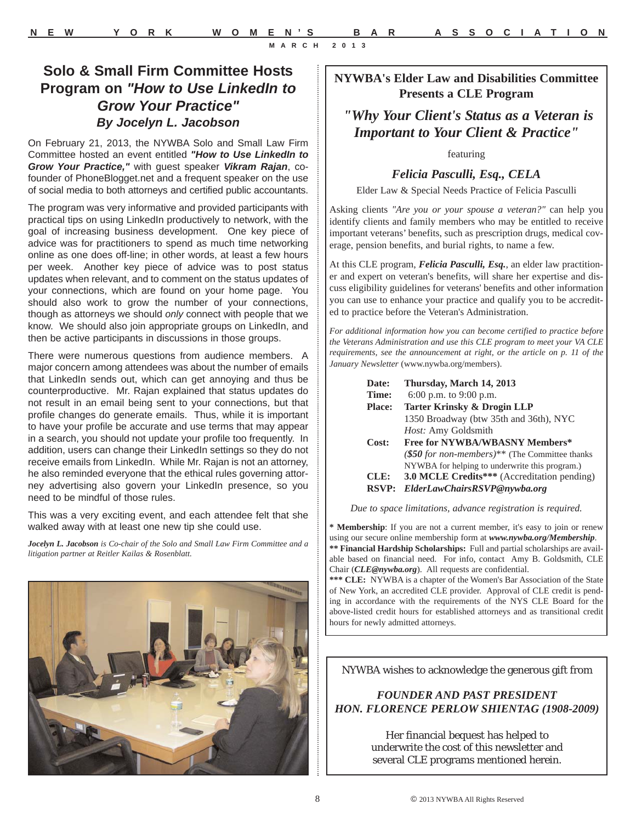# **NYWBA's Elder Law and Disabilities Committee Presents a CLE Program**

*"Why Your Client's Status as a Veteran is Important to Your Client & Practice"*

featuring

#### *Felicia Pasculli, Esq., CELA*

Elder Law & Special Needs Practice of Felicia Pasculli

Asking clients *"Are you or your spouse a veteran?"* can help you identify clients and family members who may be entitled to receive important veterans' benefits, such as prescription drugs, medical coverage, pension benefits, and burial rights, to name a few.

At this CLE program, *Felicia Pasculli, Esq.*, an elder law practitioner and expert on veteran's benefits, will share her expertise and discuss eligibility guidelines for veterans' benefits and other information you can use to enhance your practice and qualify you to be accredited to practice before the Veteran's Administration.

*For additional information how you can become certified to practice before the Veterans Administration and use this CLE program to meet your VA CLE requirements, see the announcement at right, or the article on p. 11 of the January Newsletter* (www.nywba.org/members).

| Date:         | Thursday, March 14, 2013                                    |
|---------------|-------------------------------------------------------------|
| Time:         | 6:00 p.m. to $9:00$ p.m.                                    |
| <b>Place:</b> | <b>Tarter Krinsky &amp; Drogin LLP</b>                      |
|               | 1350 Broadway (btw 35th and 36th), NYC                      |
|               | Host: Amy Goldsmith                                         |
| Cost:         | <b>Free for NYWBA/WBASNY Members*</b>                       |
|               | (\$50 for non-members) <sup>**</sup> (The Committee thanks) |
|               | NYWBA for helping to underwrite this program.)              |
| CLE:          | <b>3.0 MCLE Credits***</b> (Accreditation pending)          |
| <b>RSVP:</b>  | ElderLawChairsRSVP@nywba.org                                |

*Due to space limitations, advance registration is required.*

**\* Membership**: If you are not a current member, it's easy to join or renew using our secure online membership form at *www.nywba.org/Membership*. **\*\* Financial Hardship Scholarships:** Full and partial scholarships are available based on financial need. For info, contact Amy B. Goldsmith, CLE Chair (*CLE@nywba.org*). All requests are confidential.

**\*\*\* CLE:** NYWBA is a chapter of the Women's Bar Association of the State of New York, an accredited CLE provider. Approval of CLE credit is pending in accordance with the requirements of the NYS CLE Board for the above-listed credit hours for established attorneys and as transitional credit hours for newly admitted attorneys.

NYWBA wishes to acknowledge the generous gift from

# *FOUNDER AND PAST PRESIDENT HON. FLORENCE PERLOW SHIENTAG (1908-2009)*

Her financial bequest has helped to underwrite the cost of this newsletter and several CLE programs mentioned herein.

# **Solo & Small Firm Committee Hosts Program on** *"How to Use LinkedIn to Grow Your Practice" By Jocelyn L. Jacobson*

On February 21, 2013, the NYWBA Solo and Small Law Firm Committee hosted an event entitled *"How to Use LinkedIn to Grow Your Practice,"* with guest speaker *Vikram Rajan*, cofounder of PhoneBlogget.net and a frequent speaker on the use of social media to both attorneys and certified public accountants.

The program was very informative and provided participants with practical tips on using LinkedIn productively to network, with the goal of increasing business development. One key piece of advice was for practitioners to spend as much time networking online as one does off-line; in other words, at least a few hours per week. Another key piece of advice was to post status updates when relevant, and to comment on the status updates of your connections, which are found on your home page. You should also work to grow the number of your connections, though as attorneys we should *only* connect with people that we know. We should also join appropriate groups on LinkedIn, and then be active participants in discussions in those groups.

There were numerous questions from audience members. A major concern among attendees was about the number of emails that LinkedIn sends out, which can get annoying and thus be counterproductive. Mr. Rajan explained that status updates do not result in an email being sent to your connections, but that profile changes do generate emails. Thus, while it is important to have your profile be accurate and use terms that may appear in a search, you should not update your profile too frequently. In addition, users can change their LinkedIn settings so they do not receive emails from LinkedIn. While Mr. Rajan is not an attorney, he also reminded everyone that the ethical rules governing attorney advertising also govern your LinkedIn presence, so you need to be mindful of those rules.

This was a very exciting event, and each attendee felt that she walked away with at least one new tip she could use.

*Jocelyn L. Jacobson is Co-chair of the Solo and Small Law Firm Committee and a litigation partner at Reitler Kailas & Rosenblatt.*

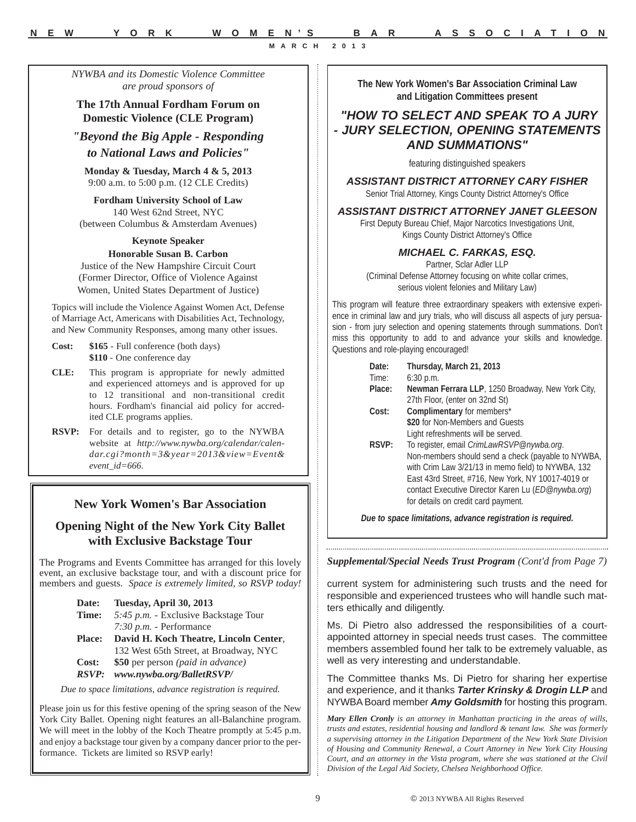*NYWBA and its Domestic Violence Committee are proud sponsors of*

**The 17th Annual Fordham Forum on Domestic Violence (CLE Program)**

*"Beyond the Big Apple - Responding to National Laws and Policies"*

**Monday & Tuesday, March 4 & 5, 2013** 9:00 a.m. to 5:00 p.m. (12 CLE Credits)

**Fordham University School of Law** 140 West 62nd Street, NYC (between Columbus & Amsterdam Avenues)

#### **Keynote Speaker**

**Honorable Susan B. Carbon** Justice of the New Hampshire Circuit Court

(Former Director, Office of Violence Against Women, United States Department of Justice)

Topics will include the Violence Against Women Act, Defense of Marriage Act, Americans with Disabilities Act, Technology, and New Community Responses, among many other issues.

- **Cost: \$165** Full conference (both days) **\$110** - One conference day
- **CLE:** This program is appropriate for newly admitted and experienced attorneys and is approved for up to 12 transitional and non-transitional credit hours. Fordham's financial aid policy for accredited CLE programs applies.

**RSVP:** For details and to register, go to the NYWBA website at *http://www.nywba.org/calendar/calendar.cgi?month=3&year=2013&view=Event& event\_id=666*.

# **New York Women's Bar Association**

# **Opening Night of the New York City Ballet with Exclusive Backstage Tour**

The Programs and Events Committee has arranged for this lovely event, an exclusive backstage tour, and with a discount price for members and guests. *Space is extremely limited, so RSVP today!*

| Date:         | Tuesday, April 30, 2013                |
|---------------|----------------------------------------|
| Time:         | 5:45 p.m. - Exclusive Backstage Tour   |
|               | $7:30 p.m.$ - Performance              |
| <b>Place:</b> | David H. Koch Theatre, Lincoln Center, |
|               | 132 West 65th Street, at Broadway, NYC |
| Cost:         | \$50 per person (paid in advance)      |
| <b>RSVP:</b>  | www.nywba.org/BalletRSVP/              |

*Due to space limitations, advance registration is required.*

Please join us for this festive opening of the spring season of the New York City Ballet. Opening night features an all-Balanchine program. We will meet in the lobby of the Koch Theatre promptly at 5:45 p.m. and enjoy a backstage tour given by a company dancer prior to the performance. Tickets are limited so RSVP early!

**The New York Women's Bar Association Criminal Law and Litigation Committees present**

# *"HOW TO SELECT AND SPEAK TO A JURY - JURY SELECTION, OPENING STATEMENTS AND SUMMATIONS"*

featuring distinguished speakers

#### *ASSISTANT DISTRICT ATTORNEY CARY FISHER*

Senior Trial Attorney, Kings County District Attorney's Office

*ASSISTANT DISTRICT ATTORNEY JANET GLEESON*

First Deputy Bureau Chief, Major Narcotics Investigations Unit, Kings County District Attorney's Office

#### *MICHAEL C. FARKAS, ESQ.*

Partner, Sclar Adler LLP (Criminal Defense Attorney focusing on white collar crimes, serious violent felonies and Military Law)

This program will feature three extraordinary speakers with extensive experience in criminal law and jury trials, who will discuss all aspects of jury persuasion - from jury selection and opening statements through summations. Don't miss this opportunity to add to and advance your skills and knowledge. Questions and role-playing encouraged!

| Date:<br>Time: | Thursday, March 21, 2013<br>$6:30$ p.m.            |
|----------------|----------------------------------------------------|
| Place:         | Newman Ferrara LLP, 1250 Broadway, New York City,  |
|                | 27th Floor, (enter on 32nd St)                     |
| Cost:          | Complimentary for members*                         |
|                | \$20 for Non-Members and Guests                    |
|                | Light refreshments will be served.                 |
| RSVP:          | To register, email CrimLawRSVP@nywba.org.          |
|                | Non-members should send a check (payable to NYWBA, |
|                | with Crim Law 3/21/13 in memo field) to NYWBA, 132 |
|                | East 43rd Street, #716, New York, NY 10017-4019 or |
|                | contact Executive Director Karen Lu (ED@nywba.org) |
|                | for details on credit card payment.                |

*Due to space limitations, advance registration is required.*

*Supplemental/Special Needs Trust Program (Cont'd from Page 7)*

current system for administering such trusts and the need for responsible and experienced trustees who will handle such matters ethically and diligently.

Ms. Di Pietro also addressed the responsibilities of a courtappointed attorney in special needs trust cases. The committee members assembled found her talk to be extremely valuable, as well as very interesting and understandable.

The Committee thanks Ms. Di Pietro for sharing her expertise and experience, and it thanks *Tarter Krinsky & Drogin LLP* and NYWBA Board member *Amy Goldsmith* for hosting this program.

*Mary Ellen Cronly is an attorney in Manhattan practicing in the areas of wills, trusts and estates, residential housing and landlord & tenant law. She was formerly a supervising attorney in the Litigation Department of the New York State Division of Housing and Community Renewal, a Court Attorney in New York City Housing Court, and an attorney in the Vista program, where she was stationed at the Civil Division of the Legal Aid Society, Chelsea Neighborhood Office.*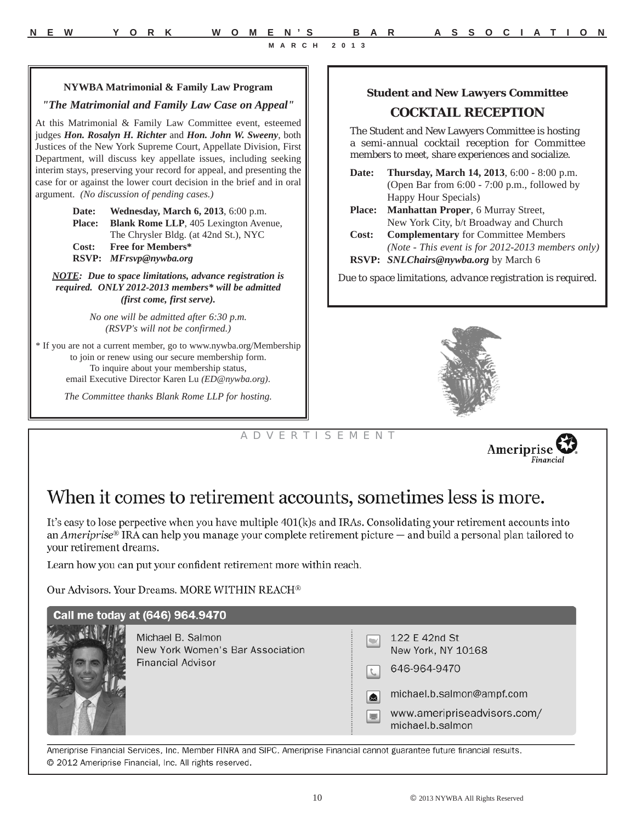#### **NYWBA Matrimonial & Family Law Program**

#### *"The Matrimonial and Family Law Case on Appeal"*

At this Matrimonial & Family Law Committee event, esteemed judges *Hon. Rosalyn H. Richter* and *Hon. John W. Sweeny*, both Justices of the New York Supreme Court, Appellate Division, First Department, will discuss key appellate issues, including seeking interim stays, preserving your record for appeal, and presenting the case for or against the lower court decision in the brief and in oral argument. *(No discussion of pending cases.)*

> **Date: Wednesday, March 6, 2013**, 6:00 p.m. **Place: Blank Rome LLP**, 405 Lexington Avenue, The Chrysler Bldg. (at 42nd St.), NYC **Cost: Free for Members\* RSVP:** *MFrsvp@nywba.org*

*NOTE: Due to space limitations, advance registration is required. ONLY 2012-2013 members\* will be admitted (first come, first serve).* 

> *No one will be admitted after 6:30 p.m. (RSVP's will not be confirmed.)*

\* If you are not a current member, go to www.nywba.org/Membership to join or renew using our secure membership form. To inquire about your membership status, email Executive Director Karen Lu *(ED@nywba.org)*.

*The Committee thanks Blank Rome LLP for hosting.*

#### **Student and New Lawyers Committee**

#### **COCKTAIL RECEPTION**

The Student and New Lawyers Committee is hosting a semi-annual cocktail reception for Committee members to meet, share experiences and socialize.

- **Date: Thursday, March 14, 2013**, 6:00 8:00 p.m. (Open Bar from 6:00 - 7:00 p.m., followed by Happy Hour Specials)
- **Place: Manhattan Proper**, 6 Murray Street, New York City, b/t Broadway and Church
- **Cost: Complementary** for Committee Members *(Note - This event is for 2012-2013 members only)*
- **RSVP:** *SNLChairs@nywba.org* by March 6

*Due to space limitations, advance registration is required.*



# A D V E R T I S E M E N T



# When it comes to retirement accounts, sometimes less is more.

It's easy to lose perpective when you have multiple 401(k)s and IRAs. Consolidating your retirement accounts into an Ameriprise<sup>®</sup> IRA can help you manage your complete retirement picture  $-$  and build a personal plan tailored to your retirement dreams.

Learn how you can put your confident retirement more within reach.

Our Advisors. Your Dreams. MORE WITHIN REACH®



Ameriprise Financial Services, Inc. Member FINRA and SIPC. Ameriprise Financial cannot guarantee future financial results. © 2012 Ameriprise Financial, Inc. All rights reserved.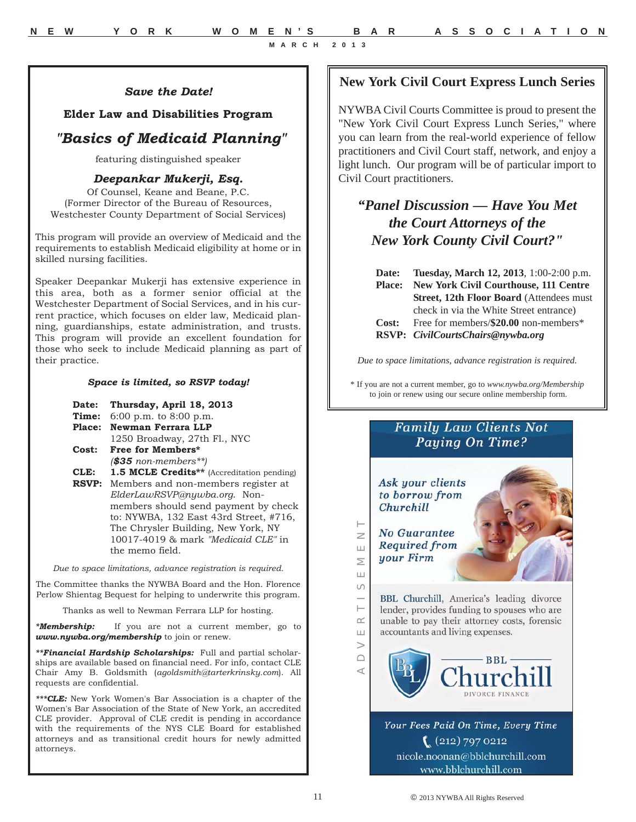**New York Civil Court Express Lunch Series**

NYWBA Civil Courts Committee is proud to present the "New York Civil Court Express Lunch Series," where you can learn from the real-world experience of fellow practitioners and Civil Court staff, network, and enjoy a light lunch. Our program will be of particular import to Civil Court practitioners.

# *"Panel Discussion — Have You Met the Court Attorneys of the New York County Civil Court?"*

**Date: Tuesday, March 12, 2013**, 1:00-2:00 p.m. **Place: New York Civil Courthouse, 111 Centre Street, 12th Floor Board** (Attendees must check in via the White Street entrance) **Cost:** Free for members/**\$20.00** non-members\* **RSVP:** *CivilCourtsChairs@nywba.org*

*Due to space limitations, advance registration is required.*

\* If you are not a current member, go to *www.nywba.org/Membership* to join or renew using our secure online membership form.

# **Family Law Clients Not Paying On Time?**



# *Save the Date!*

# **Elder Law and Disabilities Program**

# *"Basics of Medicaid Planning"*

featuring distinguished speaker

# *Deepankar Mukerji, Esq.*

Of Counsel, Keane and Beane, P.C. (Former Director of the Bureau of Resources, Westchester County Department of Social Services)

This program will provide an overview of Medicaid and the requirements to establish Medicaid eligibility at home or in skilled nursing facilities.

Speaker Deepankar Mukerji has extensive experience in this area, both as a former senior official at the Westchester Department of Social Services, and in his current practice, which focuses on elder law, Medicaid planning, guardianships, estate administration, and trusts. This program will provide an excellent foundation for those who seek to include Medicaid planning as part of their practice.

#### *Space is limited, so RSVP today!*

| Date: Thursday, April 18, 2013 |  |  |
|--------------------------------|--|--|
|                                |  |  |

- **Time:** 6:00 p.m. to 8:00 p.m.
- **Place: Newman Ferrara LLP**

1250 Broadway, 27th Fl., NYC **Cost: Free for Members\***

- *(\$35 non-members\*\*)*
- **CLE: 1.5 MCLE Credits\*\*** (Accreditation pending) **RSVP:** Members and non-members register at *ElderLawRSVP@nywba.org*. Nonmembers should send payment by check to: NYWBA, 132 East 43rd Street, #716, The Chrysler Building, New York, NY 10017-4019 & mark *"Medicaid CLE"* in the memo field.

*Due to space limitations, advance registration is required.*

The Committee thanks the NYWBA Board and the Hon. Florence Perlow Shientag Bequest for helping to underwrite this program.

Thanks as well to Newman Ferrara LLP for hosting.

*\*Membership:* If you are not a current member, go to *www.nywba.org/membership* to join or renew.

*\*\*Financial Hardship Scholarships:* Full and partial scholarships are available based on financial need. For info, contact CLE Chair Amy B. Goldsmith (*agoldsmith@tarterkrinsky.com*). All requests are confidential.

*\*\*\*CLE:* New York Women's Bar Association is a chapter of the Women's Bar Association of the State of New York, an accredited CLE provider. Approval of CLE credit is pending in accordance with the requirements of the NYS CLE Board for established attorneys and as transitional credit hours for newly admitted attorneys.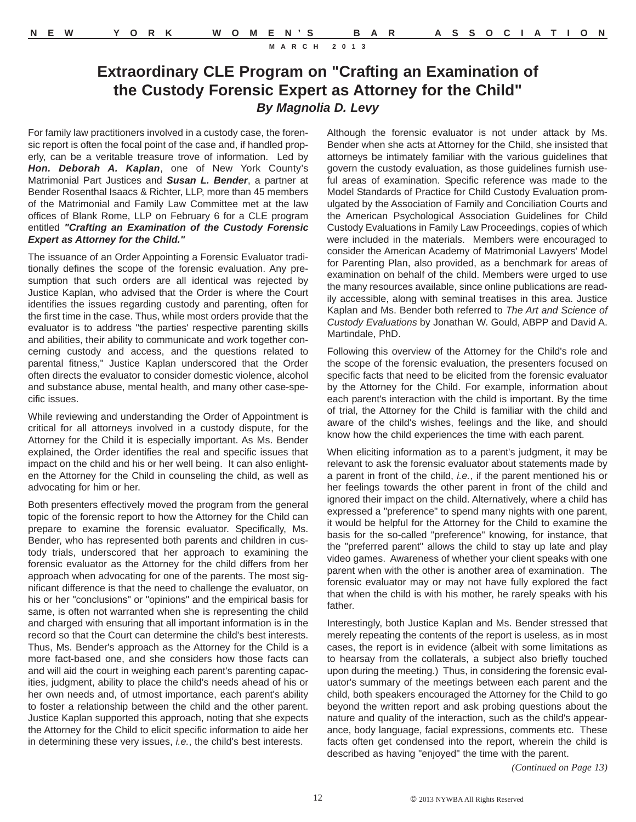# **Extraordinary CLE Program on "Crafting an Examination of the Custody Forensic Expert as Attorney for the Child"** *By Magnolia D. Levy*

For family law practitioners involved in a custody case, the forensic report is often the focal point of the case and, if handled properly, can be a veritable treasure trove of information. Led by *Hon. Deborah A. Kaplan*, one of New York County's Matrimonial Part Justices and *Susan L. Bender*, a partner at Bender Rosenthal Isaacs & Richter, LLP, more than 45 members of the Matrimonial and Family Law Committee met at the law offices of Blank Rome, LLP on February 6 for a CLE program entitled *"Crafting an Examination of the Custody Forensic Expert as Attorney for the Child."*

The issuance of an Order Appointing a Forensic Evaluator traditionally defines the scope of the forensic evaluation. Any presumption that such orders are all identical was rejected by Justice Kaplan, who advised that the Order is where the Court identifies the issues regarding custody and parenting, often for the first time in the case. Thus, while most orders provide that the evaluator is to address "the parties' respective parenting skills and abilities, their ability to communicate and work together concerning custody and access, and the questions related to parental fitness," Justice Kaplan underscored that the Order often directs the evaluator to consider domestic violence, alcohol and substance abuse, mental health, and many other case-specific issues.

While reviewing and understanding the Order of Appointment is critical for all attorneys involved in a custody dispute, for the Attorney for the Child it is especially important. As Ms. Bender explained, the Order identifies the real and specific issues that impact on the child and his or her well being. It can also enlighten the Attorney for the Child in counseling the child, as well as advocating for him or her.

Both presenters effectively moved the program from the general topic of the forensic report to how the Attorney for the Child can prepare to examine the forensic evaluator. Specifically, Ms. Bender, who has represented both parents and children in custody trials, underscored that her approach to examining the forensic evaluator as the Attorney for the child differs from her approach when advocating for one of the parents. The most significant difference is that the need to challenge the evaluator, on his or her "conclusions" or "opinions" and the empirical basis for same, is often not warranted when she is representing the child and charged with ensuring that all important information is in the record so that the Court can determine the child's best interests. Thus, Ms. Bender's approach as the Attorney for the Child is a more fact-based one, and she considers how those facts can and will aid the court in weighing each parent's parenting capacities, judgment, ability to place the child's needs ahead of his or her own needs and, of utmost importance, each parent's ability to foster a relationship between the child and the other parent. Justice Kaplan supported this approach, noting that she expects the Attorney for the Child to elicit specific information to aide her in determining these very issues, *i.e.*, the child's best interests.

Although the forensic evaluator is not under attack by Ms. Bender when she acts at Attorney for the Child, she insisted that attorneys be intimately familiar with the various guidelines that govern the custody evaluation, as those guidelines furnish useful areas of examination. Specific reference was made to the Model Standards of Practice for Child Custody Evaluation promulgated by the Association of Family and Conciliation Courts and the American Psychological Association Guidelines for Child Custody Evaluations in Family Law Proceedings, copies of which were included in the materials. Members were encouraged to consider the American Academy of Matrimonial Lawyers' Model for Parenting Plan, also provided, as a benchmark for areas of examination on behalf of the child. Members were urged to use the many resources available, since online publications are readily accessible, along with seminal treatises in this area. Justice Kaplan and Ms. Bender both referred to *The Art and Science of Custody Evaluations* by Jonathan W. Gould, ABPP and David A. Martindale, PhD.

Following this overview of the Attorney for the Child's role and the scope of the forensic evaluation, the presenters focused on specific facts that need to be elicited from the forensic evaluator by the Attorney for the Child. For example, information about each parent's interaction with the child is important. By the time of trial, the Attorney for the Child is familiar with the child and aware of the child's wishes, feelings and the like, and should know how the child experiences the time with each parent.

When eliciting information as to a parent's judgment, it may be relevant to ask the forensic evaluator about statements made by a parent in front of the child, *i.e.*, if the parent mentioned his or her feelings towards the other parent in front of the child and ignored their impact on the child. Alternatively, where a child has expressed a "preference" to spend many nights with one parent, it would be helpful for the Attorney for the Child to examine the basis for the so-called "preference" knowing, for instance, that the "preferred parent" allows the child to stay up late and play video games. Awareness of whether your client speaks with one parent when with the other is another area of examination. The forensic evaluator may or may not have fully explored the fact that when the child is with his mother, he rarely speaks with his father.

Interestingly, both Justice Kaplan and Ms. Bender stressed that merely repeating the contents of the report is useless, as in most cases, the report is in evidence (albeit with some limitations as to hearsay from the collaterals, a subject also briefly touched upon during the meeting.) Thus, in considering the forensic evaluator's summary of the meetings between each parent and the child, both speakers encouraged the Attorney for the Child to go beyond the written report and ask probing questions about the nature and quality of the interaction, such as the child's appearance, body language, facial expressions, comments etc. These facts often get condensed into the report, wherein the child is described as having "enjoyed" the time with the parent.

*(Continued on Page 13)*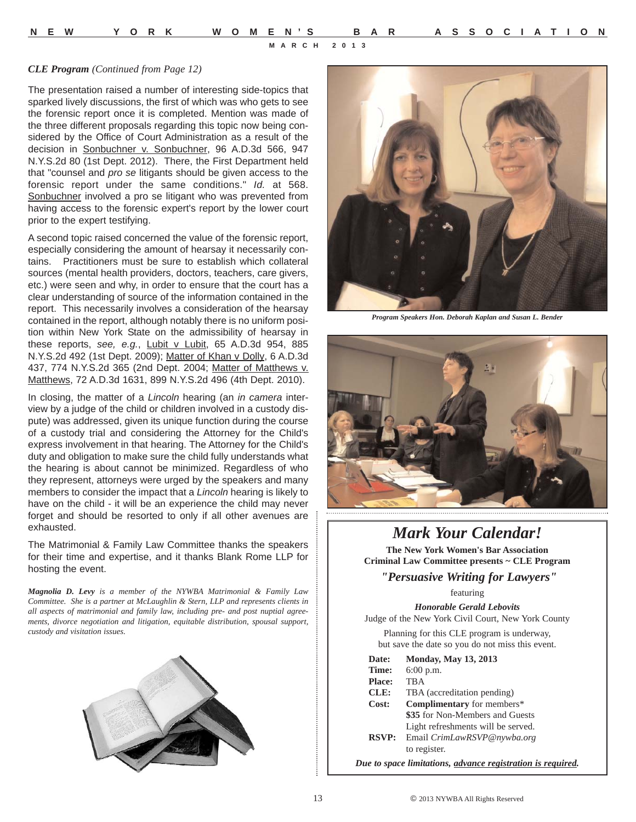#### *CLE Program (Continued from Page 12)*

The presentation raised a number of interesting side-topics that sparked lively discussions, the first of which was who gets to see the forensic report once it is completed. Mention was made of the three different proposals regarding this topic now being considered by the Office of Court Administration as a result of the decision in Sonbuchner v. Sonbuchner, 96 A.D.3d 566, 947 N.Y.S.2d 80 (1st Dept. 2012). There, the First Department held that "counsel and *pro se* litigants should be given access to the forensic report under the same conditions." *Id.* at 568. Sonbuchner involved a pro se litigant who was prevented from having access to the forensic expert's report by the lower court prior to the expert testifying.

A second topic raised concerned the value of the forensic report, especially considering the amount of hearsay it necessarily contains. Practitioners must be sure to establish which collateral sources (mental health providers, doctors, teachers, care givers, etc.) were seen and why, in order to ensure that the court has a clear understanding of source of the information contained in the report. This necessarily involves a consideration of the hearsay contained in the report, although notably there is no uniform position within New York State on the admissibility of hearsay in these reports, *see, e.g.*, Lubit v Lubit, 65 A.D.3d 954, 885 N.Y.S.2d 492 (1st Dept. 2009); Matter of Khan v Dolly, 6 A.D.3d 437, 774 N.Y.S.2d 365 (2nd Dept. 2004; Matter of Matthews v. Matthews, 72 A.D.3d 1631, 899 N.Y.S.2d 496 (4th Dept. 2010).

In closing, the matter of a *Lincoln* hearing (an *in camera* interview by a judge of the child or children involved in a custody dispute) was addressed, given its unique function during the course of a custody trial and considering the Attorney for the Child's express involvement in that hearing. The Attorney for the Child's duty and obligation to make sure the child fully understands what the hearing is about cannot be minimized. Regardless of who they represent, attorneys were urged by the speakers and many members to consider the impact that a *Lincoln* hearing is likely to have on the child - it will be an experience the child may never forget and should be resorted to only if all other avenues are exhausted.

The Matrimonial & Family Law Committee thanks the speakers for their time and expertise, and it thanks Blank Rome LLP for hosting the event.

*Magnolia D. Levy is a member of the NYWBA Matrimonial & Family Law Committee. She is a partner at McLaughlin & Stern, LLP and represents clients in all aspects of matrimonial and family law, including pre- and post nuptial agreements, divorce negotiation and litigation, equitable distribution, spousal support, custody and visitation issues.*





*Program Speakers Hon. Deborah Kaplan and Susan L. Bender*



# *Mark Your Calendar!*

**The New York Women's Bar Association Criminal Law Committee presents ~ CLE Program**

*"Persuasive Writing for Lawyers"*

featuring

*Honorable Gerald Lebovits* Judge of the New York Civil Court, New York County

Planning for this CLE program is underway, but save the date so you do not miss this event.

| Date:         | <b>Monday, May 13, 2013</b>                                         |
|---------------|---------------------------------------------------------------------|
| Time:         | $6:00$ p.m.                                                         |
| <b>Place:</b> | TBA                                                                 |
| CLE:          | TBA (accreditation pending)                                         |
| Cost:         | Complimentary for members*                                          |
|               | \$35 for Non-Members and Guests                                     |
|               | Light refreshments will be served.                                  |
| <b>RSVP:</b>  | Email CrimLawRSVP@nywba.org                                         |
|               | to register.                                                        |
|               | Due to space limitations, <u>advance registration is required</u> . |